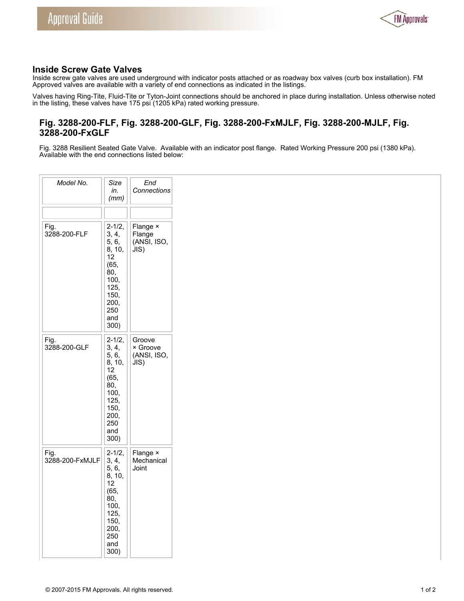

# **Inside Screw Gate Valves**

Inside screw gate valves are used underground with indicator posts attached or as roadway box valves (curb box installation). FM Approved valves are available with a variety of end connections as indicated in the listings.

Valves having Ring-Tite, Fluid-Tite or Tyton-Joint connections should be anchored in place during installation. Unless otherwise noted in the listing, these valves have 175 psi (1205 kPa) rated working pressure.

# **Fig. 3288-200-FLF, Fig. 3288-200-GLF, Fig. 3288-200-FxMJLF, Fig. 3288-200-MJLF, Fig. 3288-200-FxGLF**

Fig. 3288 Resilient Seated Gate Valve. Available with an indicator post flange. Rated Working Pressure 200 psi (1380 kPa). Available with the end connections listed below:

| Model No.               | Size<br>in.<br>(mm)                                                                                               | End<br>Connections                        |
|-------------------------|-------------------------------------------------------------------------------------------------------------------|-------------------------------------------|
| Fig.<br>3288-200-FLF    | $2 - 1/2,$<br>3, 4,<br>5, 6,<br>8, 10,<br>12<br>(65,<br>80,<br>100,<br>125,<br>150,<br>200,<br>250<br>and<br>300) | Flange ×<br>Flange<br>(ANSI, ISO,<br>J(S) |
| Fig.<br>3288-200-GLF    | $2 - 1/2,$<br>3, 4,<br>5, 6,<br>8, 10,<br>12<br>(65,<br>80,<br>100,<br>125,<br>150,<br>200,<br>250<br>and<br>300) | Groove<br>× Groove<br>(ANSI, ISO,<br>JIS) |
| Fig.<br>3288-200-FxMJLF | $2 - 1/2,$<br>3, 4,<br>5, 6,<br>8, 10,<br>12<br>(65,<br>80,<br>100,<br>125,<br>150,<br>200,<br>250<br>and<br>300) | Flange ×<br>Mechanical<br>Joint           |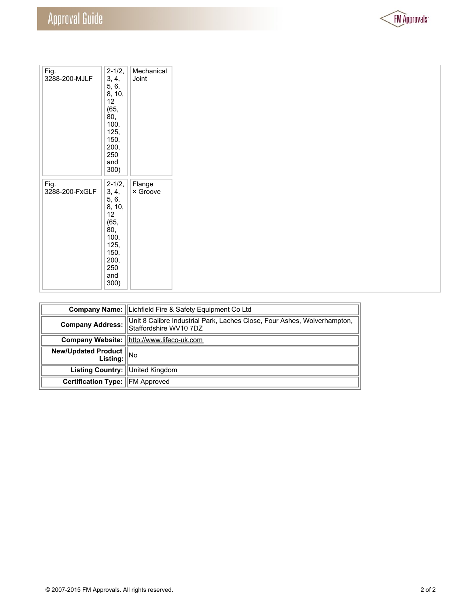

| Fig.<br>3288-200-MJLF  | $2 - 1/2,$<br>3, 4,<br>5, 6,<br>8, 10,<br>12 <sup>2</sup><br>(65,<br>80,<br>100,<br>125,<br>150,<br>200,<br>250<br>and<br>300) | Mechanical<br>Joint |
|------------------------|--------------------------------------------------------------------------------------------------------------------------------|---------------------|
| Fig.<br>3288-200-FxGLF | $2 - 1/2,$<br>3, 4,<br>5, 6,<br>8, 10,<br>12<br>(65,<br>80,<br>100,<br>125,<br>150,<br>200,<br>250<br>and<br>300)              | Flange<br>× Groove  |

|                                        | <b>Company Name: Lichfield Fire &amp; Safety Equipment Co Ltd</b>                                  |
|----------------------------------------|----------------------------------------------------------------------------------------------------|
| Company Address:                       | Unit 8 Calibre Industrial Park, Laches Close, Four Ashes, Wolverhampton,<br>Staffordshire WV10 7DZ |
|                                        | Company Website:   http://www.lifeco-uk.com                                                        |
| New/Updated Product<br>Listing:   No   |                                                                                                    |
| Listing Country: United Kingdom        |                                                                                                    |
| <b>Certification Type: FM Approved</b> |                                                                                                    |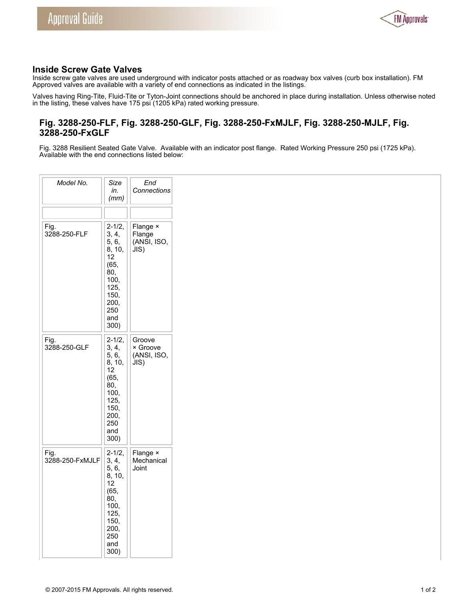

# **Inside Screw Gate Valves**

Inside screw gate valves are used underground with indicator posts attached or as roadway box valves (curb box installation). FM Approved valves are available with a variety of end connections as indicated in the listings.

Valves having Ring-Tite, Fluid-Tite or Tyton-Joint connections should be anchored in place during installation. Unless otherwise noted in the listing, these valves have 175 psi (1205 kPa) rated working pressure.

# **Fig. 3288-250-FLF, Fig. 3288-250-GLF, Fig. 3288-250-FxMJLF, Fig. 3288-250-MJLF, Fig. 3288-250-FxGLF**

Fig. 3288 Resilient Seated Gate Valve. Available with an indicator post flange. Rated Working Pressure 250 psi (1725 kPa). Available with the end connections listed below:

| Model No.               | Size<br>in.<br>(mm)                                                                                               | End<br>Connections                        |
|-------------------------|-------------------------------------------------------------------------------------------------------------------|-------------------------------------------|
| Fig.<br>3288-250-FLF    | $2 - 1/2,$<br>3, 4,<br>5, 6,<br>8, 10,<br>12<br>(65,<br>80,<br>100,<br>125,<br>150,<br>200,<br>250<br>and<br>300) | Flange ×<br>Flange<br>(ANSI, ISO,<br>J(S) |
| Fig.<br>3288-250-GLF    | $2 - 1/2,$<br>3, 4,<br>5, 6,<br>8, 10,<br>12<br>(65,<br>80,<br>100,<br>125,<br>150,<br>200,<br>250<br>and<br>300) | Groove<br>× Groove<br>(ANSI, ISO,<br>JIS) |
| Fig.<br>3288-250-FxMJLF | $2 - 1/2,$<br>3, 4,<br>5, 6,<br>8, 10,<br>12<br>(65,<br>80,<br>100,<br>125,<br>150,<br>200,<br>250<br>and<br>300) | Flange ×<br>Mechanical<br>Joint           |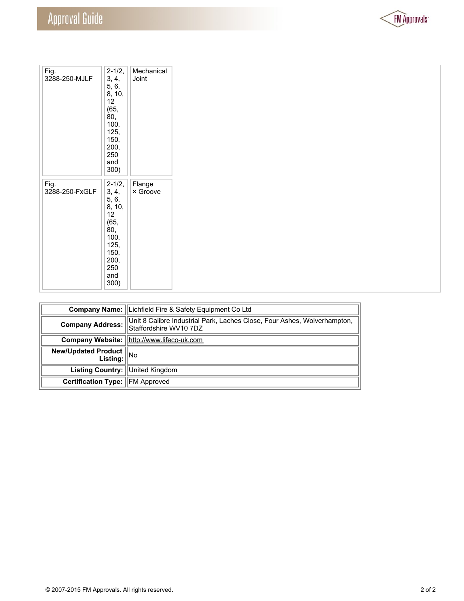

| Fig.<br>3288-250-MJLF  | $2 - 1/2,$<br>3, 4,<br>5, 6,<br>8, 10,<br>12 <sup>2</sup><br>(65,<br>80,<br>100,<br>125,<br>150,<br>200,<br>250<br>and<br>300) | Mechanical<br>Joint |
|------------------------|--------------------------------------------------------------------------------------------------------------------------------|---------------------|
| Fig.<br>3288-250-FxGLF | $2 - 1/2,$<br>3, 4,<br>5, 6,<br>8, 10,<br>12<br>(65,<br>80,<br>100,<br>125,<br>150,<br>200,<br>250<br>and<br>300)              | Flange<br>× Groove  |

|                                        | <b>Company Name: Lichfield Fire &amp; Safety Equipment Co Ltd</b>                                  |
|----------------------------------------|----------------------------------------------------------------------------------------------------|
| <b>Company Address:</b>                | Unit 8 Calibre Industrial Park, Laches Close, Four Ashes, Wolverhampton,<br>Staffordshire WV10 7DZ |
|                                        | Company Website:  http://www.lifeco-uk.com                                                         |
| New/Updated Product<br>Listing: No     |                                                                                                    |
| Listing Country: United Kingdom        |                                                                                                    |
| <b>Certification Type: FM Approved</b> |                                                                                                    |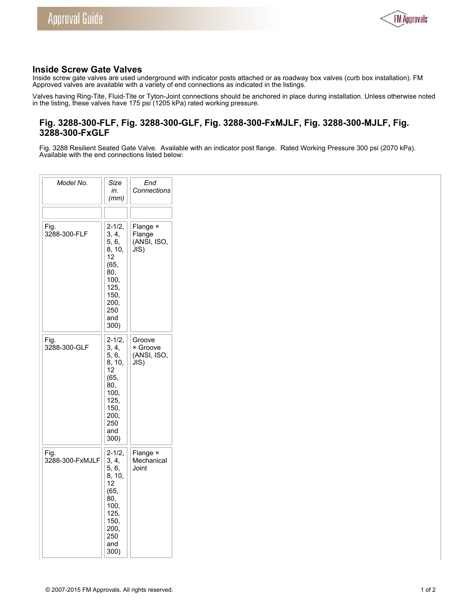

# **Inside Screw Gate Valves**

Inside screw gate valves are used underground with indicator posts attached or as roadway box valves (curb box installation). FM Approved valves are available with a variety of end connections as indicated in the listings.

Valves having Ring-Tite, Fluid-Tite or Tyton-Joint connections should be anchored in place during installation. Unless otherwise noted in the listing, these valves have 175 psi (1205 kPa) rated working pressure.

# **Fig. 3288-300-FLF, Fig. 3288-300-GLF, Fig. 3288-300-FxMJLF, Fig. 3288-300-MJLF, Fig. 3288-300-FxGLF**

Fig. 3288 Resilient Seated Gate Valve. Available with an indicator post flange. Rated Working Pressure 300 psi (2070 kPa). Available with the end connections listed below:

| Model No.               | Size<br>in.<br>(mm)                                                                                               | End<br>Connections                        |  |
|-------------------------|-------------------------------------------------------------------------------------------------------------------|-------------------------------------------|--|
|                         |                                                                                                                   |                                           |  |
| Fig.<br>3288-300-FLF    | $2 - 1/2$<br>3, 4,<br>5, 6,<br>8, 10,<br>12<br>(65,<br>80.<br>100,<br>125,<br>150,<br>200,<br>250<br>and<br>300)  | Flange ×<br>Flange<br>(ANSI, ISO,<br>J(S) |  |
| Fig.<br>3288-300-GLF    | $2 - 1/2,$<br>3, 4,<br>5, 6,<br>8, 10,<br>12<br>(65,<br>80,<br>100,<br>125,<br>150,<br>200,<br>250<br>and<br>300) | Groove<br>× Groove<br>(ANSI, ISO,<br>JIS) |  |
| Fig.<br>3288-300-FxMJLF | $2 - 1/2,$<br>3, 4,<br>5, 6,<br>8, 10,<br>12<br>(65,<br>80,<br>100,<br>125,<br>150,<br>200,<br>250<br>and<br>300) | Flange ×<br>Mechanical<br>Joint           |  |